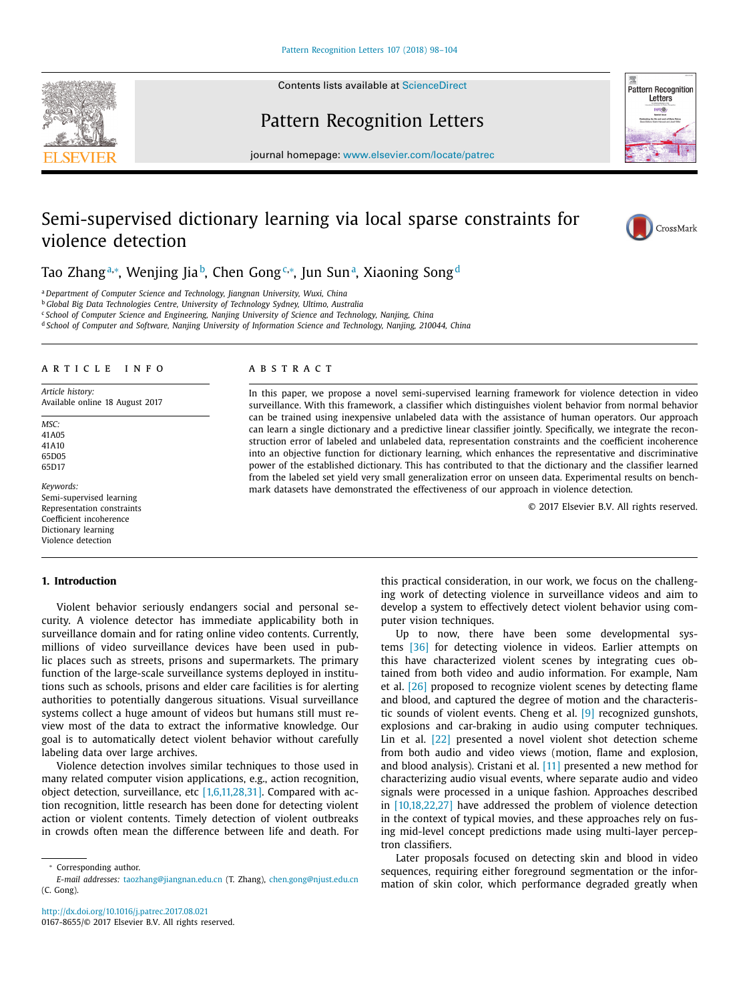Contents lists available at [ScienceDirect](http://www.ScienceDirect.com)





Pattern Recognition Letters

journal homepage: [www.elsevier.com/locate/patrec](http://www.elsevier.com/locate/patrec)

# Semi-supervised dictionary learning via local sparse constraints for violence detection



Tao Zhangª<sub>\*</sub>\*, Wenjing Jia<sup>b</sup>, Chen Gong<sup>c,</sup>\*, Jun Sunª, Xiaoning Song<sup>d</sup>

<sup>a</sup> *Department of Computer Science and Technology, Jiangnan University, Wuxi, China*

<sup>b</sup> *Global Big Data Technologies Centre, University of Technology Sydney, Ultimo, Australia*

<sup>c</sup> *School of Computer Science and Engineering, Nanjing University of Science and Technology, Nanjing, China*

<sup>d</sup> *School of Computer and Software, Nanjing University of Information Science and Technology, Nanjing, 210044, China*

#### ARTICLE INFO

*Article history:* Available online 18 August 2017

*MSC:* 41A05 41A10 65D05 65D17

*Keywords:* Semi-supervised learning Representation constraints Coefficient incoherence Dictionary learning Violence detection

# **1. Introduction**

Violent behavior seriously endangers social and personal security. A violence detector has immediate applicability both in surveillance domain and for rating online video contents. Currently, millions of video surveillance devices have been used in public places such as streets, prisons and supermarkets. The primary function of the large-scale surveillance systems deployed in institutions such as schools, prisons and elder care facilities is for alerting authorities to potentially dangerous situations. Visual surveillance systems collect a huge amount of videos but humans still must review most of the data to extract the informative knowledge. Our goal is to automatically detect violent behavior without carefully labeling data over large archives.

Violence detection involves similar techniques to those used in many related computer vision applications, e.g., action recognition, object detection, surveillance, etc [\[1,6,11,28,31\].](#page-5-0) Compared with action recognition, little research has been done for detecting violent action or violent contents. Timely detection of violent outbreaks in crowds often mean the difference between life and death. For

<sup>∗</sup> Corresponding author.

# a b s t r a c t

In this paper, we propose a novel semi-supervised learning framework for violence detection in video surveillance. With this framework, a classifier which distinguishes violent behavior from normal behavior can be trained using inexpensive unlabeled data with the assistance of human operators. Our approach can learn a single dictionary and a predictive linear classifier jointly. Specifically, we integrate the reconstruction error of labeled and unlabeled data, representation constraints and the coefficient incoherence into an objective function for dictionary learning, which enhances the representative and discriminative power of the established dictionary. This has contributed to that the dictionary and the classifier learned from the labeled set yield very small generalization error on unseen data. Experimental results on benchmark datasets have demonstrated the effectiveness of our approach in violence detection.

© 2017 Elsevier B.V. All rights reserved.

this practical consideration, in our work, we focus on the challenging work of detecting violence in surveillance videos and aim to develop a system to effectively detect violent behavior using computer vision techniques.

Up to now, there have been some developmental systems [\[36\]](#page-6-0) for detecting violence in videos. Earlier attempts on this have characterized violent scenes by integrating cues obtained from both video and audio information. For example, Nam et al. [\[26\]](#page-6-0) proposed to recognize violent scenes by detecting flame and blood, and captured the degree of motion and the characteristic sounds of violent events. Cheng et al. [\[9\]](#page-5-0) recognized gunshots, explosions and car-braking in audio using computer techniques. Lin et al. [\[22\]](#page-6-0) presented a novel violent shot detection scheme from both audio and video views (motion, flame and explosion, and blood analysis). Cristani et al.  $[11]$  presented a new method for characterizing audio visual events, where separate audio and video signals were processed in a unique fashion. Approaches described in [\[10,18,22,27\]](#page-5-0) have addressed the problem of violence detection in the context of typical movies, and these approaches rely on fusing mid-level concept predictions made using multi-layer perceptron classifiers.

Later proposals focused on detecting skin and blood in video sequences, requiring either foreground segmentation or the information of skin color, which performance degraded greatly when

*E-mail addresses:* [taozhang@jiangnan.edu.cn](mailto:taozhang@jiangnan.edu.cn) (T. Zhang), [chen.gong@njust.edu.cn](mailto:chen.gong@njust.edu.cn) (C. Gong).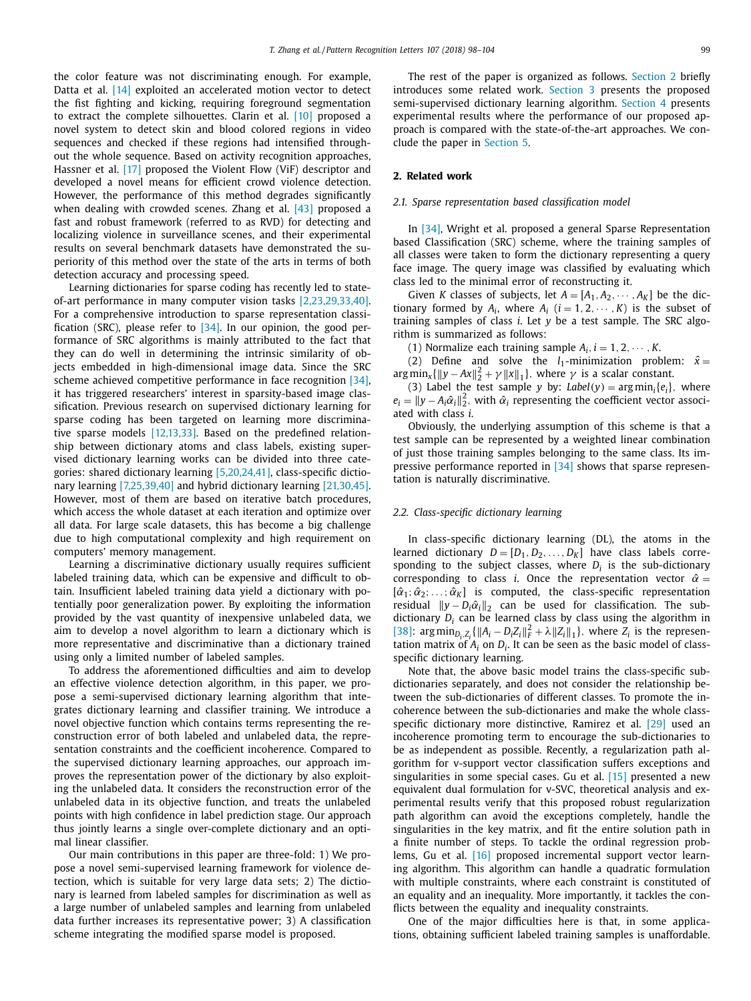the color feature was not discriminating enough. For example, Datta et al. [\[14\]](#page-5-0) exploited an accelerated motion vector to detect the fist fighting and kicking, requiring foreground segmentation to extract the complete silhouettes. Clarin et al. [\[10\]](#page-5-0) proposed a novel system to detect skin and blood colored regions in video sequences and checked if these regions had intensified throughout the whole sequence. Based on activity recognition approaches, Hassner et al. [\[17\]](#page-5-0) proposed the Violent Flow (ViF) descriptor and developed a novel means for efficient crowd violence detection. However, the performance of this method degrades significantly when dealing with crowded scenes. Zhang et al. [\[43\]](#page-6-0) proposed a fast and robust framework (referred to as RVD) for detecting and localizing violence in surveillance scenes, and their experimental results on several benchmark datasets have demonstrated the superiority of this method over the state of the arts in terms of both detection accuracy and processing speed.

Learning dictionaries for sparse coding has recently led to stateof-art performance in many computer vision tasks [\[2,23,29,33,40\].](#page-5-0) For a comprehensive introduction to sparse representation classification (SRC), please refer to  $[34]$ . In our opinion, the good performance of SRC algorithms is mainly attributed to the fact that they can do well in determining the intrinsic similarity of objects embedded in high-dimensional image data. Since the SRC scheme achieved competitive performance in face recognition [\[34\],](#page-6-0) it has triggered researchers' interest in sparsity-based image classification. Previous research on supervised dictionary learning for sparse coding has been targeted on learning more discriminative sparse models [\[12,13,33\].](#page-5-0) Based on the predefined relationship between dictionary atoms and class labels, existing supervised dictionary learning works can be divided into three categories: shared dictionary learning [\[5,20,24,41\],](#page-5-0) class-specific dictionary learning [\[7,25,39,40\]](#page-5-0) and hybrid dictionary learning [\[21,30,45\].](#page-6-0) However, most of them are based on iterative batch procedures, which access the whole dataset at each iteration and optimize over all data. For large scale datasets, this has become a big challenge due to high computational complexity and high requirement on computers' memory management.

Learning a discriminative dictionary usually requires sufficient labeled training data, which can be expensive and difficult to obtain. Insufficient labeled training data yield a dictionary with potentially poor generalization power. By exploiting the information provided by the vast quantity of inexpensive unlabeled data, we aim to develop a novel algorithm to learn a dictionary which is more representative and discriminative than a dictionary trained using only a limited number of labeled samples.

To address the aforementioned difficulties and aim to develop an effective violence detection algorithm, in this paper, we propose a semi-supervised dictionary learning algorithm that integrates dictionary learning and classifier training. We introduce a novel objective function which contains terms representing the reconstruction error of both labeled and unlabeled data, the representation constraints and the coefficient incoherence. Compared to the supervised dictionary learning approaches, our approach improves the representation power of the dictionary by also exploiting the unlabeled data. It considers the reconstruction error of the unlabeled data in its objective function, and treats the unlabeled points with high confidence in label prediction stage. Our approach thus jointly learns a single over-complete dictionary and an optimal linear classifier.

Our main contributions in this paper are three-fold: 1) We propose a novel semi-supervised learning framework for violence detection, which is suitable for very large data sets; 2) The dictionary is learned from labeled samples for discrimination as well as a large number of unlabeled samples and learning from unlabeled data further increases its representative power; 3) A classification scheme integrating the modified sparse model is proposed.

The rest of the paper is organized as follows. Section 2 briefly introduces some related work. [Section](#page-2-0) 3 presents the proposed semi-supervised dictionary learning algorithm. [Section](#page-3-0) 4 presents experimental results where the performance of our proposed approach is compared with the state-of-the-art approaches. We conclude the paper in [Section](#page-5-0) 5.

## **2. Related work**

#### *2.1. Sparse representation based classification model*

In [\[34\],](#page-6-0) Wright et al. proposed a general Sparse Representation based Classification (SRC) scheme, where the training samples of all classes were taken to form the dictionary representing a query face image. The query image was classified by evaluating which class led to the minimal error of reconstructing it.

Given *K* classes of subjects, let  $A = [A_1, A_2, \cdots, A_K]$  be the dictionary formed by  $A_i$ , where  $A_i$  ( $i = 1, 2, \dots, K$ ) is the subset of training samples of class *i*. Let *y* be a test sample. The SRC algorithm is summarized as follows:

(1) Normalize each training sample  $A_i$ ,  $i = 1, 2, \dots, K$ .

(2) Define and solve the  $l_1$ -minimization problem:  $\hat{x} =$  $\arg \min_x {\{\Vert y - Ax \Vert_2^2 + \gamma \Vert x \Vert_1\}}$ , where  $\gamma$  is a scalar constant.

(3) Label the test sample *y* by: *Label*(*y*) =  $\arg \min_i \{e_i\}$ , where  $e_i = ||y - A_i \hat{\alpha}_i||_2^2$ , with  $\hat{\alpha}_i$  representing the coefficient vector associated with class *i*.

Obviously, the underlying assumption of this scheme is that a test sample can be represented by a weighted linear combination of just those training samples belonging to the same class. Its impressive performance reported in [\[34\]](#page-6-0) shows that sparse representation is naturally discriminative.

## *2.2. Class-specific dictionary learning*

In class-specific dictionary learning (DL), the atoms in the learned dictionary  $D = [D_1, D_2, \ldots, D_K]$  have class labels corresponding to the subject classes, where  $D_i$  is the sub-dictionary corresponding to class *i*. Once the representation vector  $\hat{\alpha}$  =  $[\hat{\alpha}_1; \hat{\alpha}_2; \ldots; \hat{\alpha}_K]$  is computed, the class-specific representation residual  $||y - D_i \hat{\alpha}_i||_2$  can be used for classification. The subdictionary *Di* can be learned class by class using the algorithm in [\[38\]:](#page-6-0)  $\arg \min_{D_i, Z_i} \{ \|A_i - D_i Z_i\|_F^2 + \lambda \|Z_i\|_1 \}$ , where  $Z_i$  is the representation matrix of  $A_i$  on  $D_i$ . It can be seen as the basic model of classspecific dictionary learning.

Note that, the above basic model trains the class-specific subdictionaries separately, and does not consider the relationship between the sub-dictionaries of different classes. To promote the incoherence between the sub-dictionaries and make the whole classspecific dictionary more distinctive, Ramirez et al. [\[29\]](#page-6-0) used an incoherence promoting term to encourage the sub-dictionaries to be as independent as possible. Recently, a regularization path algorithm for v-support vector classification suffers exceptions and singularities in some special cases. Gu et al. [\[15\]](#page-5-0) presented a new equivalent dual formulation for v-SVC, theoretical analysis and experimental results verify that this proposed robust regularization path algorithm can avoid the exceptions completely, handle the singularities in the key matrix, and fit the entire solution path in a finite number of steps. To tackle the ordinal regression problems, Gu et al. [\[16\]](#page-5-0) proposed incremental support vector learning algorithm. This algorithm can handle a quadratic formulation with multiple constraints, where each constraint is constituted of an equality and an inequality. More importantly, it tackles the conflicts between the equality and inequality constraints.

One of the major difficulties here is that, in some applications, obtaining sufficient labeled training samples is unaffordable.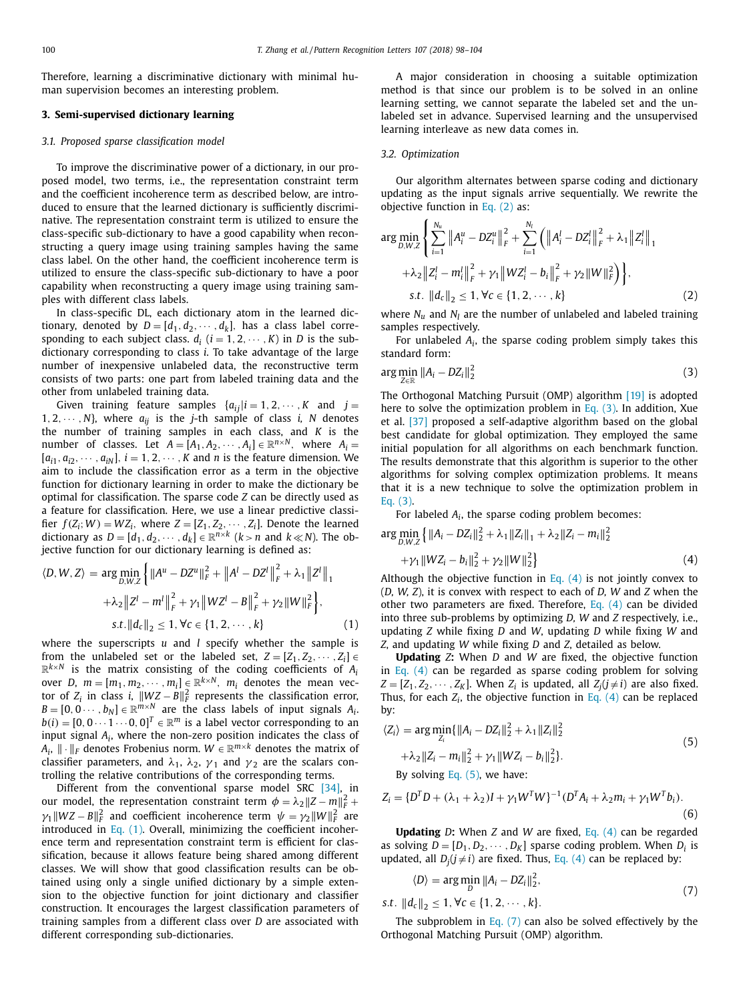<span id="page-2-0"></span>Therefore, learning a discriminative dictionary with minimal human supervision becomes an interesting problem.

## **3. Semi-supervised dictionary learning**

# *3.1. Proposed sparse classification model*

To improve the discriminative power of a dictionary, in our proposed model, two terms, i.e., the representation constraint term and the coefficient incoherence term as described below, are introduced to ensure that the learned dictionary is sufficiently discriminative. The representation constraint term is utilized to ensure the class-specific sub-dictionary to have a good capability when reconstructing a query image using training samples having the same class label. On the other hand, the coefficient incoherence term is utilized to ensure the class-specific sub-dictionary to have a poor capability when reconstructing a query image using training samples with different class labels.

In class-specific DL, each dictionary atom in the learned dictionary, denoted by  $D = [d_1, d_2, \cdots, d_k]$ , has a class label corresponding to each subject class.  $d_i$  ( $i = 1, 2, \dots, K$ ) in *D* is the subdictionary corresponding to class *i*. To take advantage of the large number of inexpensive unlabeled data, the reconstructive term consists of two parts: one part from labeled training data and the other from unlabeled training data.

Given training feature samples  ${a_{ij}}|i = 1, 2, \cdots, K$  and  $j =$ 1, 2,  $\cdots$ , *N*}, where  $a_{ij}$  is the *j*-th sample of class *i*, *N* denotes the number of training samples in each class, and *K* is the number of classes. Let  $A = [A_1, A_2, \cdots, A_i] \in \mathbb{R}^{n \times N}$ , where  $A_i =$  $[a_{i1}, a_{i2}, \cdots, a_{iN}], i = 1, 2, \cdots, K$  and *n* is the feature dimension. We aim to include the classification error as a term in the objective function for dictionary learning in order to make the dictionary be optimal for classification. The sparse code *Z* can be directly used as a feature for classification. Here, we use a linear predictive classifier  $f(Z_i; W) = WZ_i$ , where  $Z = [Z_1, Z_2, \cdots, Z_i]$ . Denote the learned dictionary as  $D = [d_1, d_2, \dots, d_k] \in \mathbb{R}^{n \times k}$  (*k* > *n* and *k*  $\ll N$ ). The objective function for our dictionary learning is defined as:

$$
\langle D, W, Z \rangle = \arg \min_{D, W, Z} \left\{ \|A^u - DZ^u\|_F^2 + \|A^l - DZ^l\|_F^2 + \lambda_1 \|Z^l\|_1 + \lambda_2 \|Z^l - m^l\|_F^2 + \gamma_1 \|WZ^l - B\|_F^2 + \gamma_2 \|W\|_F^2 \right\},\
$$
  
s.t.  $||d_c||_2 \le 1, \forall c \in \{1, 2, \dots, k\}$  (1)

where the superscripts *u* and *l* specify whether the sample is from the unlabeled set or the labeled set,  $Z = [Z_1, Z_2, \cdots, Z_i]$  $\mathbb{R}^{k \times N}$  is the matrix consisting of the coding coefficients of  $A_i$ over *D*,  $m = [m_1, m_2, \cdots, m_i] \in \mathbb{R}^{k \times N}$ ,  $m_i$  denotes the mean vector of *Z*<sub>*i*</sub> in class *i*,  $||WZ - B||_F^2$  represents the classification error,  $B = [0, 0 \cdots, b_N] \in \mathbb{R}^{m \times N}$  are the class labels of input signals  $A_i$ .  $b(i) = [0, 0 \cdots 1 \cdots 0, 0]^T \in \mathbb{R}^m$  is a label vector corresponding to an input signal *Ai*, where the non-zero position indicates the class of *A<sub>i</sub>*,  $\|\cdot\|_F$  denotes Frobenius norm. *W* ∈  $\mathbb{R}^{m \times k}$  denotes the matrix of classifier parameters, and  $\lambda_1$ ,  $\lambda_2$ ,  $\gamma_1$  and  $\gamma_2$  are the scalars controlling the relative contributions of the corresponding terms.

Different from the conventional sparse model SRC [\[34\],](#page-6-0) in our model, the representation constraint term  $\phi = \lambda_2 ||Z - m||_F^2 +$  $\gamma_1 \| WZ - B \|^2_F$  and coefficient incoherence term  $\psi = \gamma_2 \| W \|^2_F$  are introduced in Eq. (1). Overall, minimizing the coefficient incoherence term and representation constraint term is efficient for classification, because it allows feature being shared among different classes. We will show that good classification results can be obtained using only a single unified dictionary by a simple extension to the objective function for joint dictionary and classifier construction. It encourages the largest classification parameters of training samples from a different class over *D* are associated with different corresponding sub-dictionaries.

A major consideration in choosing a suitable optimization method is that since our problem is to be solved in an online learning setting, we cannot separate the labeled set and the unlabeled set in advance. Supervised learning and the unsupervised learning interleave as new data comes in.

# *3.2. Optimization*

Our algorithm alternates between sparse coding and dictionary updating as the input signals arrive sequentially. We rewrite the objective function in Eq. (2) as:

$$
\arg\min_{D,W,Z} \left\{ \sum_{i=1}^{N_u} \left\| A_i^u - D Z_i^u \right\|_F^2 + \sum_{i=1}^{N_l} \left( \left\| A_i^l - D Z_i^l \right\|_F^2 + \lambda_1 \left\| Z_i^l \right\|_1 + \lambda_2 \left\| Z_i^l - m_l^l \right\|_F^2 + \gamma_1 \left\| W Z_i^l - b_i \right\|_F^2 + \gamma_2 \left\| W \right\|_F^2 \right) \right\},
$$
  
s.t. 
$$
\left\| d_c \right\|_2 \le 1, \forall c \in \{1, 2, \dots, k\}
$$
 (2)

where  $N_u$  and  $N_l$  are the number of unlabeled and labeled training samples respectively.

For unlabeled *Ai*, the sparse coding problem simply takes this standard form:

$$
\arg\min_{Z\in\mathbb{R}} \|A_i - DZ_i\|_2^2 \tag{3}
$$

The Orthogonal Matching Pursuit (OMP) algorithm [\[19\]](#page-6-0) is adopted here to solve the optimization problem in Eq. (3). In addition, Xue et al. [\[37\]](#page-6-0) proposed a self-adaptive algorithm based on the global best candidate for global optimization. They employed the same initial population for all algorithms on each benchmark function. The results demonstrate that this algorithm is superior to the other algorithms for solving complex optimization problems. It means that it is a new technique to solve the optimization problem in Eq. (3).

For labeled *Ai*, the sparse coding problem becomes:

$$
\arg\min_{D,W,Z} \left\{ ||A_i - DZ_i||_2^2 + \lambda_1 ||Z_i||_1 + \lambda_2 ||Z_i - m_i||_2^2 + \gamma_1 ||WZ_i - b_i||_2^2 + \gamma_2 ||W||_2^2 \right\}
$$
\n(4)

Although the objective function in Eq.  $(4)$  is not jointly convex to (*D, W, Z*), it is convex with respect to each of *D, W* and *Z* when the other two parameters are fixed. Therefore, Eq.  $(4)$  can be divided into three sub-problems by optimizing *D, W* and *Z* respectively, i.e., updating *Z* while fixing *D* and *W*, updating *D* while fixing *W* and *Z*, and updating *W* while fixing *D* and *Z*, detailed as below.

**Updating** *Z***:** When *D* and *W* are fixed, the objective function in Eq.  $(4)$  can be regarded as sparse coding problem for solving  $Z = [Z_1, Z_2, \cdots, Z_K]$ . When  $Z_i$  is updated, all  $Z_j (j \neq i)$  are also fixed. Thus, for each  $Z_i$ , the objective function in Eq.  $(4)$  can be replaced by:

$$
\langle Z_i \rangle = \arg \min_{Z_i} \{ ||A_i - DZ_i||_2^2 + \lambda_1 ||Z_i||_2^2 + \lambda_2 ||Z_i - m_i||_2^2 + \gamma_1 ||WZ_i - b_i||_2^2 \}.
$$
\n(5)

\nBy solving Eq. (5), we have:

$$
Z_i = \{D^T D + (\lambda_1 + \lambda_2)I + \gamma_1 W^T W\}^{-1} (D^T A_i + \lambda_2 m_i + \gamma_1 W^T b_i).
$$
\n(6)

**Updating** *D***:** When *Z* and *W* are fixed, Eq. (4) can be regarded as solving  $D = [D_1, D_2, \cdots, D_K]$  sparse coding problem. When  $D_i$  is updated, all  $D_j$  $(j \neq i)$  are fixed. Thus, Eq.  $(4)$  can be replaced by:

$$
\langle D \rangle = \arg\min_{D} \|A_i - D Z_i\|_2^2, \tag{7}
$$

*s.t.*  $||d_c||_2 \leq 1, \forall c \in \{1, 2, \dots, k\}.$ 

The subproblem in Eq.  $(7)$  can also be solved effectively by the Orthogonal Matching Pursuit (OMP) algorithm.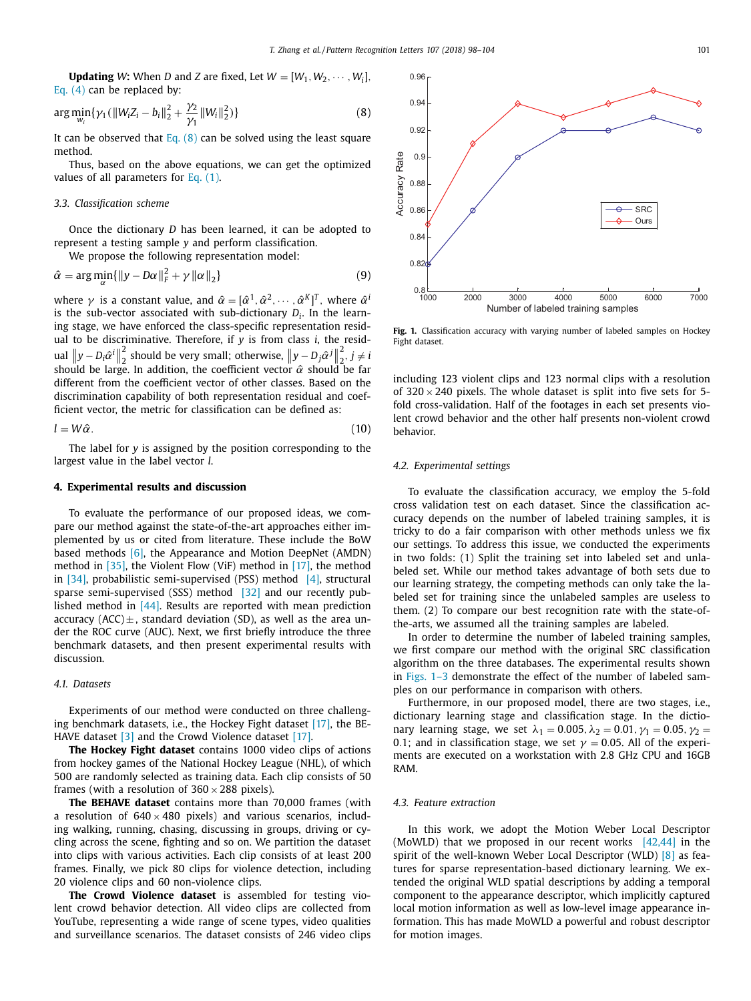<span id="page-3-0"></span>**Updating** *W*: When *D* and *Z* are fixed, Let  $W = [W_1, W_2, \cdots, W_i]$ , [Eq.](#page-2-0) (4) can be replaced by:

$$
\arg\min_{w_i} \{ \gamma_1(||W_i Z_i - b_i||_2^2 + \frac{\gamma_2}{\gamma_1} ||W_i||_2^2) \}
$$
\n(8)

It can be observed that Eq.  $(8)$  can be solved using the least square method.

Thus, based on the above equations, we can get the optimized values of all parameters for Eq.  $(1)$ .

## *3.3. Classification scheme*

Once the dictionary *D* has been learned, it can be adopted to represent a testing sample *y* and perform classification.

We propose the following representation model:

$$
\hat{\alpha} = \arg\min_{\alpha} \{ \|y - D\alpha\|_F^2 + \gamma \|\alpha\|_2 \}
$$
\n(9)

where  $\gamma$  is a constant value, and  $\hat{\alpha} = [\hat{\alpha}^1, \hat{\alpha}^2, \cdots, \hat{\alpha}^K]^T$ , where  $\hat{\alpha}^i$ is the sub-vector associated with sub-dictionary *Di*. In the learning stage, we have enforced the class-specific representation residual to be discriminative. Therefore, if *y* is from class *i*, the resid- $||y - D_i\hat{\alpha}^i||_2^2$  should be very small; otherwise,  $||y - D_j\hat{\alpha}^j||_2^2$ ,  $j \neq i$ should be large. In addition, the coefficient vector  $\hat{\alpha}$  should be far different from the coefficient vector of other classes. Based on the discrimination capability of both representation residual and coefficient vector, the metric for classification can be defined as:

$$
l = W\hat{\alpha}.\tag{10}
$$

The label for *y* is assigned by the position corresponding to the largest value in the label vector *l*.

## **4. Experimental results and discussion**

To evaluate the performance of our proposed ideas, we compare our method against the state-of-the-art approaches either implemented by us or cited from literature. These include the BoW based methods [\[6\],](#page-5-0) the Appearance and Motion DeepNet (AMDN) method in [\[35\],](#page-6-0) the Violent Flow (ViF) method in [\[17\],](#page-5-0) the method in  $[34]$ , probabilistic semi-supervised (PSS) method  $[4]$ , structural sparse semi-supervised (SSS) method [\[32\]](#page-6-0) and our recently published method in [\[44\].](#page-6-0) Results are reported with mean prediction accuracy (ACC) $\pm$ , standard deviation (SD), as well as the area under the ROC curve (AUC). Next, we first briefly introduce the three benchmark datasets, and then present experimental results with discussion.

#### *4.1. Datasets*

Experiments of our method were conducted on three challenging benchmark datasets, i.e., the Hockey Fight dataset [\[17\],](#page-5-0) the BE-HAVE dataset [\[3\]](#page-5-0) and the Crowd Violence dataset [\[17\].](#page-5-0)

**The Hockey Fight dataset** contains 1000 video clips of actions from hockey games of the National Hockey League (NHL), of which 500 are randomly selected as training data. Each clip consists of 50 frames (with a resolution of  $360 \times 288$  pixels).

**The BEHAVE dataset** contains more than 70,000 frames (with a resolution of  $640 \times 480$  pixels) and various scenarios, including walking, running, chasing, discussing in groups, driving or cycling across the scene, fighting and so on. We partition the dataset into clips with various activities. Each clip consists of at least 200 frames. Finally, we pick 80 clips for violence detection, including 20 violence clips and 60 non-violence clips.

**The Crowd Violence dataset** is assembled for testing violent crowd behavior detection. All video clips are collected from YouTube, representing a wide range of scene types, video qualities and surveillance scenarios. The dataset consists of 246 video clips



**Fig. 1.** Classification accuracy with varying number of labeled samples on Hockey Fight dataset.

including 123 violent clips and 123 normal clips with a resolution of  $320 \times 240$  pixels. The whole dataset is split into five sets for 5fold cross-validation. Half of the footages in each set presents violent crowd behavior and the other half presents non-violent crowd behavior.

#### *4.2. Experimental settings*

To evaluate the classification accuracy, we employ the 5-fold cross validation test on each dataset. Since the classification accuracy depends on the number of labeled training samples, it is tricky to do a fair comparison with other methods unless we fix our settings. To address this issue, we conducted the experiments in two folds: (1) Split the training set into labeled set and unlabeled set. While our method takes advantage of both sets due to our learning strategy, the competing methods can only take the labeled set for training since the unlabeled samples are useless to them. (2) To compare our best recognition rate with the state-ofthe-arts, we assumed all the training samples are labeled.

In order to determine the number of labeled training samples, we first compare our method with the original SRC classification algorithm on the three databases. The experimental results shown in Figs. 1–3 demonstrate the effect of the number of labeled samples on our performance in comparison with others.

Furthermore, in our proposed model, there are two stages, i.e., dictionary learning stage and classification stage. In the dictionary learning stage, we set  $\lambda_1 = 0.005$ ,  $\lambda_2 = 0.01$ ,  $\gamma_1 = 0.05$ ,  $\gamma_2 =$ 0.1; and in classification stage, we set  $\gamma = 0.05$ . All of the experiments are executed on a workstation with 2.8 GHz CPU and 16GB RAM.

#### *4.3. Feature extraction*

In this work, we adopt the Motion Weber Local Descriptor (MoWLD) that we proposed in our recent works [\[42,44\]](#page-6-0) in the spirit of the well-known Weber Local Descriptor (WLD) [\[8\]](#page-5-0) as features for sparse representation-based dictionary learning. We extended the original WLD spatial descriptions by adding a temporal component to the appearance descriptor, which implicitly captured local motion information as well as low-level image appearance information. This has made MoWLD a powerful and robust descriptor for motion images.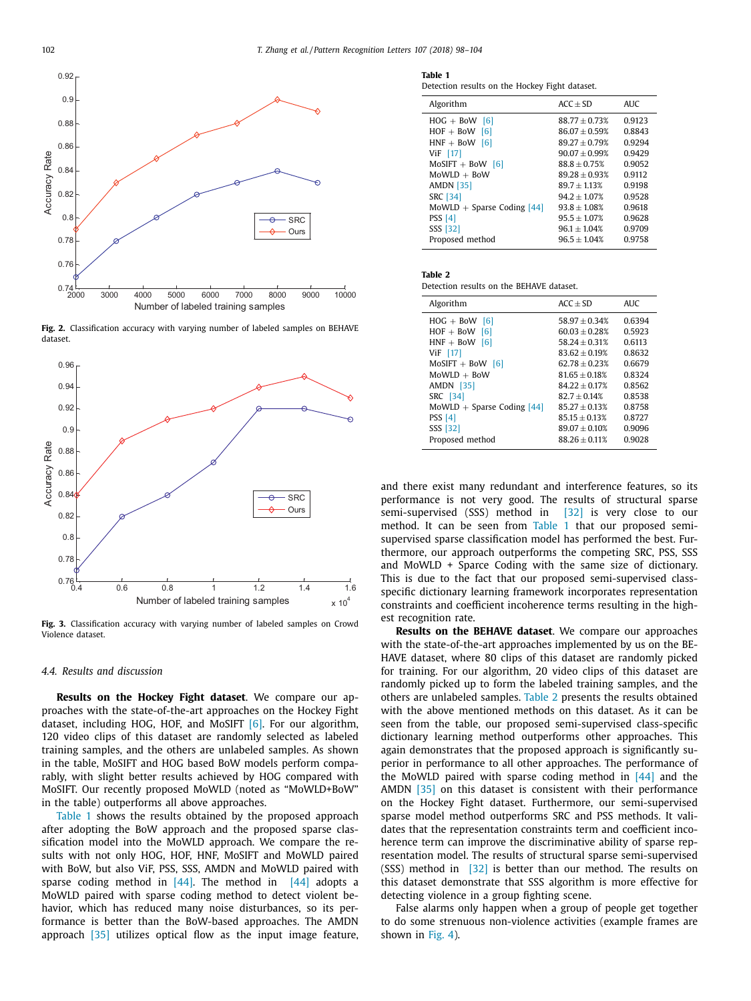

**Fig. 2.** Classification accuracy with varying number of labeled samples on BEHAVE dataset.



**Fig. 3.** Classification accuracy with varying number of labeled samples on Crowd Violence dataset.

## *4.4. Results and discussion*

**Results on the Hockey Fight dataset**. We compare our approaches with the state-of-the-art approaches on the Hockey Fight dataset, including HOG, HOF, and MoSIFT [\[6\].](#page-5-0) For our algorithm, 120 video clips of this dataset are randomly selected as labeled training samples, and the others are unlabeled samples. As shown in the table, MoSIFT and HOG based BoW models perform comparably, with slight better results achieved by HOG compared with MoSIFT. Our recently proposed MoWLD (noted as "MoWLD+BoW" in the table) outperforms all above approaches.

Table 1 shows the results obtained by the proposed approach after adopting the BoW approach and the proposed sparse classification model into the MoWLD approach. We compare the results with not only HOG, HOF, HNF, MoSIFT and MoWLD paired with BoW, but also ViF, PSS, SSS, AMDN and MoWLD paired with sparse coding method in  $[44]$ . The method in  $[44]$  adopts a MoWLD paired with sparse coding method to detect violent behavior, which has reduced many noise disturbances, so its performance is better than the BoW-based approaches. The AMDN approach [\[35\]](#page-6-0) utilizes optical flow as the input image feature,

|--|--|

Detection results on the Hockey Fight dataset.

| Algorithm                    | $ACC + SD$      | <b>AUC</b> |
|------------------------------|-----------------|------------|
| $HOG + BoW$<br>[6]           | $88.77 + 0.73%$ | 0.9123     |
| $HOF + BoW$<br>[6]           | $86.07 + 0.59%$ | 0.8843     |
| $HNF + BoW$<br>[6]           | $89.27 + 0.79%$ | 0.9294     |
| $ViF$ [17]                   | $90.07 + 0.99%$ | 0.9429     |
| $MoSIFT + BoW [6]$           | $88.8 + 0.75%$  | 0.9052     |
| $MowLD + Bow$                | $89.28 + 0.93%$ | 0.9112     |
| <b>AMDN [35]</b>             | $89.7 + 1.13%$  | 0.9198     |
| <b>SRC</b> [34]              | $94.2 + 1.07%$  | 0.9528     |
| MoWLD + Sparse Coding $[44]$ | $93.8 + 1.08%$  | 0.9618     |
| <b>PSS [4]</b>               | $95.5 + 1.07%$  | 0.9628     |
| SSS [32]                     | $96.1 + 1.04%$  | 0.9709     |
| Proposed method              | $96.5 + 1.04%$  | 0.9758     |

| <br>. .<br>$\sim$ |
|-------------------|
|-------------------|

Detection results on the BEHAVE dataset.

| Algorithm                    | $ACC + SD$      | <b>AUC</b> |
|------------------------------|-----------------|------------|
| $HOG + BoW$ [6]              | $58.97 + 0.34%$ | 0.6394     |
| $HOF + BoW$ [6]              | $60.03 + 0.28%$ | 0.5923     |
| $HNF + BoW$<br>[6]           | $58.24 + 0.31%$ | 0.6113     |
| $ViF$ [17]                   | $83.62 + 0.19%$ | 0.8632     |
| $MoSIFT + BoW [6]$           | $62.78 + 0.23%$ | 0.6679     |
| $MowLD + Bow$                | $81.65 + 0.18%$ | 0.8324     |
| <b>AMDN</b> [35]             | $84.22 + 0.17%$ | 0.8562     |
| SRC [34]                     | $82.7 + 0.14%$  | 0.8538     |
| MoWLD + Sparse Coding $[44]$ | $85.27 + 0.13%$ | 0.8758     |
| <b>PSS [4]</b>               | $85.15 + 0.13%$ | 0.8727     |
| SSS [32]                     | $89.07 + 0.10%$ | 0.9096     |
| Proposed method              | $88.26 + 0.11%$ | 0.9028     |
|                              |                 |            |

and there exist many redundant and interference features, so its performance is not very good. The results of structural sparse semi-supervised (SSS) method in [\[32\]](#page-6-0) is very close to our method. It can be seen from Table 1 that our proposed semisupervised sparse classification model has performed the best. Furthermore, our approach outperforms the competing SRC, PSS, SSS and MoWLD + Sparce Coding with the same size of dictionary. This is due to the fact that our proposed semi-supervised classspecific dictionary learning framework incorporates representation constraints and coefficient incoherence terms resulting in the highest recognition rate.

**Results on the BEHAVE dataset**. We compare our approaches with the state-of-the-art approaches implemented by us on the BE-HAVE dataset, where 80 clips of this dataset are randomly picked for training. For our algorithm, 20 video clips of this dataset are randomly picked up to form the labeled training samples, and the others are unlabeled samples. Table 2 presents the results obtained with the above mentioned methods on this dataset. As it can be seen from the table, our proposed semi-supervised class-specific dictionary learning method outperforms other approaches. This again demonstrates that the proposed approach is significantly superior in performance to all other approaches. The performance of the MoWLD paired with sparse coding method in  $[44]$  and the AMDN [\[35\]](#page-6-0) on this dataset is consistent with their performance on the Hockey Fight dataset. Furthermore, our semi-supervised sparse model method outperforms SRC and PSS methods. It validates that the representation constraints term and coefficient incoherence term can improve the discriminative ability of sparse representation model. The results of structural sparse semi-supervised (SSS) method in [\[32\]](#page-6-0) is better than our method. The results on this dataset demonstrate that SSS algorithm is more effective for detecting violence in a group fighting scene.

False alarms only happen when a group of people get together to do some strenuous non-violence activities (example frames are shown in [Fig.](#page-5-0) 4).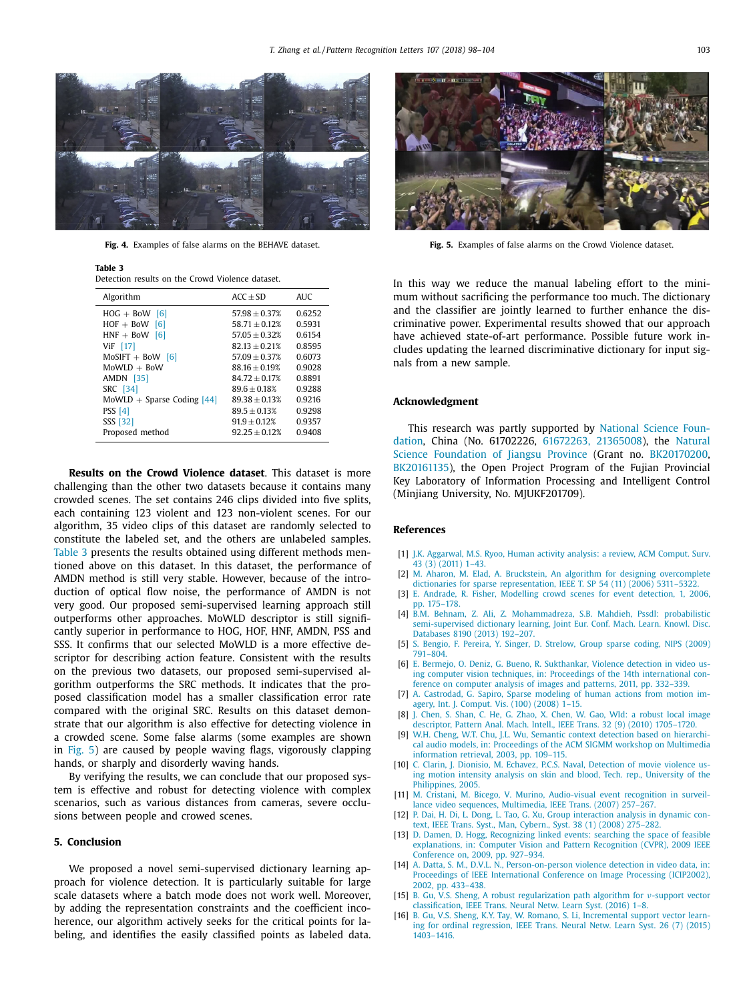<span id="page-5-0"></span>

**Fig. 4.** Examples of false alarms on the BEHAVE dataset.

#### **Table 3**

Detection results on the Crowd Violence dataset.

| Algorithm                    | $ACC + SD$       | <b>AUC</b> |
|------------------------------|------------------|------------|
| $HOG + BoW$ [6]              | $57.98 + 0.37%$  | 0.6252     |
| $HOF + BoW$ [6]              | $58.71 + 0.12%$  | 0.5931     |
| $HNF + BoW$<br>[6]           | $57.05 + 0.32%$  | 0.6154     |
| $ViF$ [17]                   | $82.13 + 0.21%$  | 0.8595     |
| $MoSIFT + BoW [6]$           | $57.09 + 0.37%$  | 0.6073     |
| $MowLD + Bow$                | $88.16 + 0.19%$  | 0.9028     |
| <b>AMDN</b> [35]             | $84.72 + 0.17%$  | 0.8891     |
| SRC [34]                     | $89.6 + 0.18%$   | 09288      |
| MoWLD + Sparse Coding $[44]$ | $89.38 + 0.13%$  | 0.9216     |
| <b>PSS [4]</b>               | $89.5 \pm 0.13%$ | 0.9298     |
| SSS [32]                     | $91.9 + 0.12%$   | 0.9357     |
| Proposed method              | $92.25 + 0.12%$  | 0.9408     |
|                              |                  |            |

**Results on the Crowd Violence dataset**. This dataset is more challenging than the other two datasets because it contains many crowded scenes. The set contains 246 clips divided into five splits, each containing 123 violent and 123 non-violent scenes. For our algorithm, 35 video clips of this dataset are randomly selected to constitute the labeled set, and the others are unlabeled samples. Table 3 presents the results obtained using different methods mentioned above on this dataset. In this dataset, the performance of AMDN method is still very stable. However, because of the introduction of optical flow noise, the performance of AMDN is not very good. Our proposed semi-supervised learning approach still outperforms other approaches. MoWLD descriptor is still significantly superior in performance to HOG, HOF, HNF, AMDN, PSS and SSS. It confirms that our selected MoWLD is a more effective descriptor for describing action feature. Consistent with the results on the previous two datasets, our proposed semi-supervised algorithm outperforms the SRC methods. It indicates that the proposed classification model has a smaller classification error rate compared with the original SRC. Results on this dataset demonstrate that our algorithm is also effective for detecting violence in a crowded scene. Some false alarms (some examples are shown in Fig. 5) are caused by people waving flags, vigorously clapping hands, or sharply and disorderly waving hands.

By verifying the results, we can conclude that our proposed system is effective and robust for detecting violence with complex scenarios, such as various distances from cameras, severe occlusions between people and crowed scenes.

## **5. Conclusion**

We proposed a novel semi-supervised dictionary learning approach for violence detection. It is particularly suitable for large scale datasets where a batch mode does not work well. Moreover, by adding the representation constraints and the coefficient incoherence, our algorithm actively seeks for the critical points for labeling, and identifies the easily classified points as labeled data.



**Fig. 5.** Examples of false alarms on the Crowd Violence dataset.

In this way we reduce the manual labeling effort to the minimum without sacrificing the performance too much. The dictionary and the classifier are jointly learned to further enhance the discriminative power. Experimental results showed that our approach have achieved state-of-art performance. Possible future work includes updating the learned discriminative dictionary for input signals from a new sample.

## **Acknowledgment**

This research was partly supported by National Science Foundation, China (No. 61702226, 61672263, [21365008\),](http://dx.doi.org/10.13039/501100001809) the Natural Science Foundation of Jiangsu Province (Grant no. [BK20170200,](http://dx.doi.org/10.13039/501100004608) BK20161135), the Open Project Program of the Fujian Provincial Key Laboratory of Information Processing and Intelligent Control (Minjiang University, No. MJUKF201709).

#### **References**

- [1] J.K. [Aggarwal,](http://refhub.elsevier.com/S0167-8655(17)30287-8/sbref0001) M.S. [Ryoo,](http://refhub.elsevier.com/S0167-8655(17)30287-8/sbref0001) Human activity analysis: a review, ACM Comput. Surv. 43 (3) (2011) 1–43.
- [2] M. [Aharon,](http://refhub.elsevier.com/S0167-8655(17)30287-8/sbref0002) M. [Elad,](http://refhub.elsevier.com/S0167-8655(17)30287-8/sbref0002) A. [Bruckstein,](http://refhub.elsevier.com/S0167-8655(17)30287-8/sbref0002) An algorithm for designing overcomplete dictionaries for sparse [representation,](http://refhub.elsevier.com/S0167-8655(17)30287-8/sbref0002) IEEE T. SP 54 (11) (2006) 5311-5322.
- [3] E. [Andrade,](http://refhub.elsevier.com/S0167-8655(17)30287-8/sbref0003) R. [Fisher,](http://refhub.elsevier.com/S0167-8655(17)30287-8/sbref0003) [Modelling](http://refhub.elsevier.com/S0167-8655(17)30287-8/sbref0003) crowd scenes for event detection, 1, 2006, pp. 175–178.
- [4] B.M. [Behnam,](http://refhub.elsevier.com/S0167-8655(17)30287-8/sbref0004) Z. [Ali,](http://refhub.elsevier.com/S0167-8655(17)30287-8/sbref0004) Z. [Mohammadreza,](http://refhub.elsevier.com/S0167-8655(17)30287-8/sbref0004) S.B. [Mahdieh,](http://refhub.elsevier.com/S0167-8655(17)30287-8/sbref0004) Pssdl: probabilistic semi-supervised dictionary learning, Joint Eur. Conf. Mach. Learn. Knowl. Disc. Databases 8190 (2013) 192–207.
- [5] S. [Bengio,](http://refhub.elsevier.com/S0167-8655(17)30287-8/sbref0005) F. [Pereira,](http://refhub.elsevier.com/S0167-8655(17)30287-8/sbref0005) Y. [Singer,](http://refhub.elsevier.com/S0167-8655(17)30287-8/sbref0005) D. [Strelow,](http://refhub.elsevier.com/S0167-8655(17)30287-8/sbref0005) Group sparse coding, NIPS (2009) [791–804.](http://refhub.elsevier.com/S0167-8655(17)30287-8/sbref0005)
- [6] E. [Bermejo,](http://refhub.elsevier.com/S0167-8655(17)30287-8/sbref0006) O. [Deniz,](http://refhub.elsevier.com/S0167-8655(17)30287-8/sbref0006) G. [Bueno,](http://refhub.elsevier.com/S0167-8655(17)30287-8/sbref0006) R. [Sukthankar,](http://refhub.elsevier.com/S0167-8655(17)30287-8/sbref0006) Violence detection in video using computer vision techniques, in: Proceedings of the 14th [international](http://refhub.elsevier.com/S0167-8655(17)30287-8/sbref0006) conference on computer analysis of images and patterns, 2011, pp. 332–339.
- [7] A. [Castrodad,](http://refhub.elsevier.com/S0167-8655(17)30287-8/sbref0007) G. [Sapiro,](http://refhub.elsevier.com/S0167-8655(17)30287-8/sbref0007) Sparse modeling of human actions from motion imagery, Int. J. Comput. Vis. (100) (2008) 1–15.
- [8] J. [Chen,](http://refhub.elsevier.com/S0167-8655(17)30287-8/sbref0008) S. [Shan,](http://refhub.elsevier.com/S0167-8655(17)30287-8/sbref0008) C. [He,](http://refhub.elsevier.com/S0167-8655(17)30287-8/sbref0008) G. [Zhao,](http://refhub.elsevier.com/S0167-8655(17)30287-8/sbref0008) X. Chen, W. [Gao,](http://refhub.elsevier.com/S0167-8655(17)30287-8/sbref0008) Wld: a robust local image descriptor, Pattern Anal. Mach. Intell., IEEE Trans. 32 (9) (2010) [1705–1720.](http://refhub.elsevier.com/S0167-8655(17)30287-8/sbref0008)
- [9] W.H. [Cheng,](http://refhub.elsevier.com/S0167-8655(17)30287-8/sbref0009) [W.T.](http://refhub.elsevier.com/S0167-8655(17)30287-8/sbref0009) Chu, J.L. [Wu, Semantic](http://refhub.elsevier.com/S0167-8655(17)30287-8/sbref0009) context detection based on hierarchical audio models, in: Proceedings of the ACM SIGMM workshop on Multimedia information retrieval, 2003, pp. 109–115.
- [10] C. [Clarin,](http://refhub.elsevier.com/S0167-8655(17)30287-8/sbref0010) J. [Dionisio,](http://refhub.elsevier.com/S0167-8655(17)30287-8/sbref0010) M. [Echavez,](http://refhub.elsevier.com/S0167-8655(17)30287-8/sbref0010) P.C.S. [Naval,](http://refhub.elsevier.com/S0167-8655(17)30287-8/sbref0010) Detection of movie violence using motion intensity analysis on skin and blood, Tech. rep., University of the [Philippines,](http://refhub.elsevier.com/S0167-8655(17)30287-8/sbref0010) 2005.
- [11] M. [Cristani,](http://refhub.elsevier.com/S0167-8655(17)30287-8/sbref0011) M. [Bicego,](http://refhub.elsevier.com/S0167-8655(17)30287-8/sbref0011) V. [Murino,](http://refhub.elsevier.com/S0167-8655(17)30287-8/sbref0011) [Audio-visual](http://refhub.elsevier.com/S0167-8655(17)30287-8/sbref0011) event recognition in surveillance video sequences, Multimedia, IEEE Trans. (2007) 257–267.
- [12] P. [Dai,](http://refhub.elsevier.com/S0167-8655(17)30287-8/sbref0012) H. [Di,](http://refhub.elsevier.com/S0167-8655(17)30287-8/sbref0012) L. [Dong,](http://refhub.elsevier.com/S0167-8655(17)30287-8/sbref0012) L. [Tao,](http://refhub.elsevier.com/S0167-8655(17)30287-8/sbref0012) G. [Xu,](http://refhub.elsevier.com/S0167-8655(17)30287-8/sbref0012) Group [interaction](http://refhub.elsevier.com/S0167-8655(17)30287-8/sbref0012) analysis in dynamic context, IEEE Trans. Syst., Man, Cybern., Syst. 38 (1) (2008) 275–282.
- [13] D. [Damen,](http://refhub.elsevier.com/S0167-8655(17)30287-8/sbref0013) D. [Hogg,](http://refhub.elsevier.com/S0167-8655(17)30287-8/sbref0013) Recognizing linked events: searching the space of feasible [explanations,](http://refhub.elsevier.com/S0167-8655(17)30287-8/sbref0013) in: Computer Vision and Pattern Recognition (CVPR), 2009 IEEE
- Conference on, 2009, pp. 927–934. [14] A. [Datta,](http://refhub.elsevier.com/S0167-8655(17)30287-8/sbref0014) S. [M.,](http://refhub.elsevier.com/S0167-8655(17)30287-8/sbref0014) [D.V.L.](http://refhub.elsevier.com/S0167-8655(17)30287-8/sbref0014) N., [Person-on-person](http://refhub.elsevier.com/S0167-8655(17)30287-8/sbref0014) violence detection in video data, in: Proceedings of IEEE International Conference on Image Processing (ICIP2002), 2002, pp. 433–438.
- [15] B. [Gu,](http://refhub.elsevier.com/S0167-8655(17)30287-8/sbref0015) V.S. [Sheng,](http://refhub.elsevier.com/S0167-8655(17)30287-8/sbref0015) A robust [regularization](http://refhub.elsevier.com/S0167-8655(17)30287-8/sbref0015) path algorithm for ν-support vector classification, IEEE Trans. Neural Netw. Learn Syst. (2016) 1–8.
- [16] B. [Gu,](http://refhub.elsevier.com/S0167-8655(17)30287-8/sbref0016) V.S. [Sheng,](http://refhub.elsevier.com/S0167-8655(17)30287-8/sbref0016) [K.Y.](http://refhub.elsevier.com/S0167-8655(17)30287-8/sbref0016) Tay, W. [Romano,](http://refhub.elsevier.com/S0167-8655(17)30287-8/sbref0016) S. [Li,](http://refhub.elsevier.com/S0167-8655(17)30287-8/sbref0016) [Incremental](http://refhub.elsevier.com/S0167-8655(17)30287-8/sbref0016) support vector learning for ordinal regression, IEEE Trans. Neural Netw. Learn Syst. 26 (7) (2015) 1403–1416.